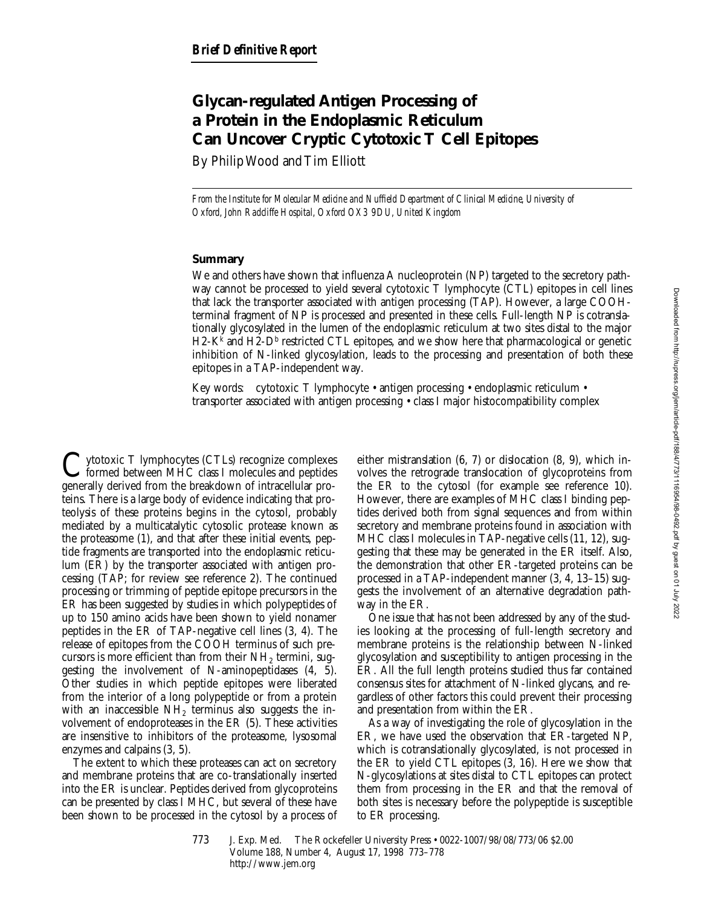# **Glycan-regulated Antigen Processing of a Protein in the Endoplasmic Reticulum Can Uncover Cryptic Cytotoxic T Cell Epitopes**

By Philip Wood and Tim Elliott

*From the Institute for Molecular Medicine and Nuffield Department of Clinical Medicine, University of Oxford, John Radcliffe Hospital, Oxford OX3 9DU, United Kingdom*

## **Summary**

We and others have shown that influenza A nucleoprotein (NP) targeted to the secretory pathway cannot be processed to yield several cytotoxic T lymphocyte (CTL) epitopes in cell lines that lack the transporter associated with antigen processing (TAP). However, a large COOHterminal fragment of NP is processed and presented in these cells. Full-length NP is cotranslationally glycosylated in the lumen of the endoplasmic reticulum at two sites distal to the major  $H2-K^k$  and  $H2-D^b$  restricted CTL epitopes, and we show here that pharmacological or genetic inhibition of N-linked glycosylation, leads to the processing and presentation of both these epitopes in a TAP-independent way.

Key words: cytotoxic T lymphocyte • antigen processing • endoplasmic reticulum • transporter associated with antigen processing • class I major histocompatibility complex

 $\mathbf{Y}$ ytotoxic T lymphocytes (CTLs) recognize complexes formed between MHC class I molecules and peptides generally derived from the breakdown of intracellular proteins. There is a large body of evidence indicating that proteolysis of these proteins begins in the cytosol, probably mediated by a multicatalytic cytosolic protease known as the proteasome (1), and that after these initial events, peptide fragments are transported into the endoplasmic reticulum (ER) by the transporter associated with antigen processing (TAP; for review see reference 2). The continued processing or trimming of peptide epitope precursors in the ER has been suggested by studies in which polypeptides of up to 150 amino acids have been shown to yield nonamer peptides in the ER of TAP-negative cell lines (3, 4). The release of epitopes from the COOH terminus of such precursors is more efficient than from their  $NH<sub>2</sub>$  termini, suggesting the involvement of N-aminopeptidases (4, 5). Other studies in which peptide epitopes were liberated from the interior of a long polypeptide or from a protein with an inaccessible  $NH<sub>2</sub>$  terminus also suggests the involvement of endoproteases in the ER (5). These activities are insensitive to inhibitors of the proteasome, lysosomal enzymes and calpains (3, 5).

The extent to which these proteases can act on secretory and membrane proteins that are co-translationally inserted into the ER is unclear. Peptides derived from glycoproteins can be presented by class I MHC, but several of these have been shown to be processed in the cytosol by a process of either mistranslation (6, 7) or dislocation (8, 9), which involves the retrograde translocation of glycoproteins from the ER to the cytosol (for example see reference 10). However, there are examples of MHC class I binding peptides derived both from signal sequences and from within secretory and membrane proteins found in association with MHC class I molecules in TAP-negative cells (11, 12), suggesting that these may be generated in the ER itself. Also, the demonstration that other ER-targeted proteins can be processed in a TAP-independent manner (3, 4, 13–15) suggests the involvement of an alternative degradation pathway in the ER.

One issue that has not been addressed by any of the studies looking at the processing of full-length secretory and membrane proteins is the relationship between N-linked glycosylation and susceptibility to antigen processing in the ER. All the full length proteins studied thus far contained consensus sites for attachment of N-linked glycans, and regardless of other factors this could prevent their processing and presentation from within the ER.

As a way of investigating the role of glycosylation in the ER, we have used the observation that ER-targeted NP, which is cotranslationally glycosylated, is not processed in the ER to yield CTL epitopes (3, 16). Here we show that N-glycosylations at sites distal to CTL epitopes can protect them from processing in the ER and that the removal of both sites is necessary before the polypeptide is susceptible to ER processing.

<sup>773</sup> J. Exp. Med. © The Rockefeller University Press • 0022-1007/98/08/773/06 \$2.00 Volume 188, Number 4, August 17, 1998 773–778 http://www.jem.org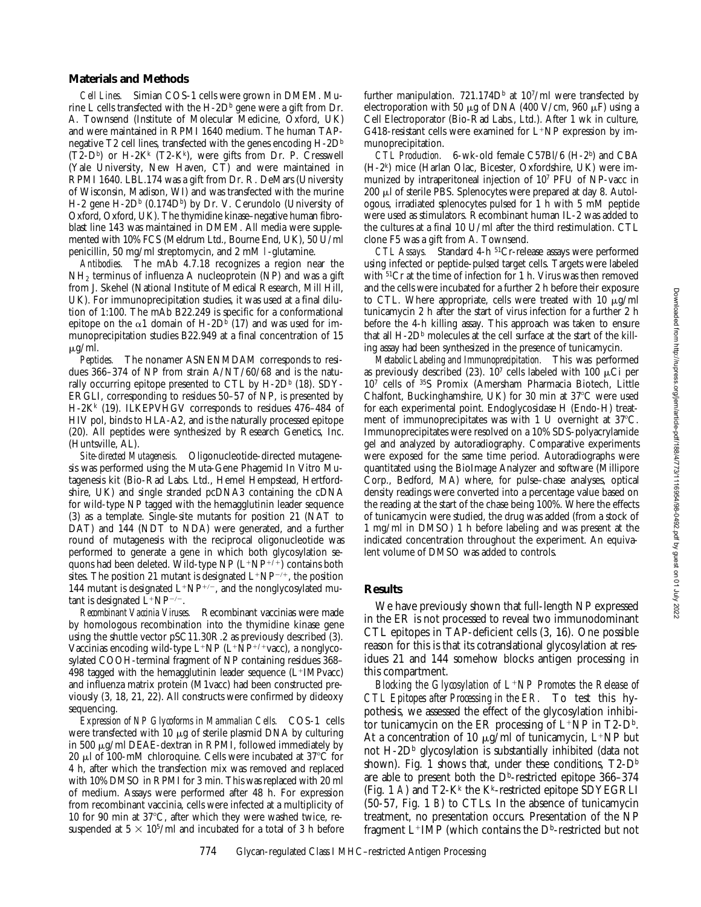### **Materials and Methods**

*Cell Lines.* Simian COS-1 cells were grown in DMEM. Murine L cells transfected with the  $H$ -2D<sup>b</sup> gene were a gift from Dr. A. Townsend (Institute of Molecular Medicine, Oxford, UK) and were maintained in RPMI 1640 medium. The human TAPnegative T2 cell lines, transfected with the genes encoding H-2D<sup>b</sup>  $(T2-D<sup>b</sup>)$  or H-2K<sup>k</sup>  $(T2-K<sup>k</sup>)$ , were gifts from Dr. P. Cresswell (Yale University, New Haven, CT) and were maintained in RPMI 1640. LBL.174 was a gift from Dr. R. DeMars (University of Wisconsin, Madison, WI) and was transfected with the murine  $H-2$  gene  $H-2D<sup>b</sup>$  (0.174 $D<sup>b</sup>$ ) by Dr. V. Cerundolo (University of Oxford, Oxford, UK). The thymidine kinase–negative human fibroblast line 143 was maintained in DMEM. All media were supplemented with 10% FCS (Meldrum Ltd., Bourne End, UK), 50 U/ml penicillin, 50 mg/ml streptomycin, and 2 mM l-glutamine.

*Antibodies.* The mAb 4.7.18 recognizes a region near the  $NH<sub>2</sub>$  terminus of influenza A nucleoprotein (NP) and was a gift from J. Skehel (National Institute of Medical Research, Mill Hill, UK). For immunoprecipitation studies, it was used at a final dilution of 1:100. The mAb B22.249 is specific for a conformational epitope on the  $\alpha$ 1 domain of H-2D<sup>b</sup> (17) and was used for immunoprecipitation studies B22.949 at a final concentration of 15  $\mu$ g/ml.

*Peptides.* The nonamer ASNENMDAM corresponds to residues 366–374 of NP from strain A/NT/60/68 and is the naturally occurring epitope presented to CTL by  $H$ -2D<sup>b</sup> (18). SDY-ERGLI, corresponding to residues 50–57 of NP, is presented by H-2Kk (19). ILKEPVHGV corresponds to residues 476–484 of HIV pol, binds to HLA-A2, and is the naturally processed epitope (20). All peptides were synthesized by Research Genetics, Inc. (Huntsville, AL).

*Site-directed Mutagenesis.* Oligonucleotide-directed mutagenesis was performed using the Muta-Gene Phagemid In Vitro Mutagenesis kit (Bio-Rad Labs. Ltd., Hemel Hempstead, Hertfordshire, UK) and single stranded pcDNA3 containing the cDNA for wild-type NP tagged with the hemagglutinin leader sequence (3) as a template. Single-site mutants for position 21 (NAT to DAT) and 144 (NDT to NDA) were generated, and a further round of mutagenesis with the reciprocal oligonucleotide was performed to generate a gene in which both glycosylation sequons had been deleted. Wild-type NP  $(L+NP^{+/+})$  contains both sites. The position 21 mutant is designated  $L^+NP^{-/+}$ , the position 144 mutant is designated  $L^+NP^{+/-}$ , and the nonglycosylated mutant is designated  $L^+NP^{-/-}$ .

*Recombinant Vaccinia Viruses.* Recombinant vaccinias were made by homologous recombination into the thymidine kinase gene using the shuttle vector pSC11.30R.2 as previously described (3). Vaccinias encoding wild-type  $L^+NP (L^+NP^{+/+}vacc)$ , a nonglycosylated COOH-terminal fragment of NP containing residues 368– 498 tagged with the hemagglutinin leader sequence  $(L+IMPvac)$ and influenza matrix protein (M1vacc) had been constructed previously (3, 18, 21, 22). All constructs were confirmed by dideoxy sequencing.

*Expression of NP Glycoforms in Mammalian Cells.* COS-1 cells were transfected with 10  $\mu$ g of sterile plasmid DNA by culturing in 500  $\mu$ g/ml DEAE-dextran in RPMI, followed immediately by 20  $\mu$ l of 100-mM chloroquine. Cells were incubated at 37<sup>o</sup>C for 4 h, after which the transfection mix was removed and replaced with 10% DMSO in RPMI for 3 min. This was replaced with 20 ml of medium. Assays were performed after 48 h. For expression from recombinant vaccinia, cells were infected at a multiplicity of 10 for 90 min at  $37^{\circ}$ C, after which they were washed twice, resuspended at  $5 \times 10^{5}/\text{ml}$  and incubated for a total of 3 h before

further manipulation.  $721.174D<sup>b</sup>$  at  $10<sup>7</sup>/ml$  were transfected by electroporation with 50  $\mu$ g of DNA (400 V/cm, 960  $\mu$ F) using a Cell Electroporator (Bio-Rad Labs., Ltd.). After 1 wk in culture, G418-resistant cells were examined for  $L^+NP$  expression by im-

munoprecipitation.<br>CTL Production. *CTL Production.* 6-wk-old female C57Bl/6 (H-2b) and CBA (H-2k) mice (Harlan Olac, Bicester, Oxfordshire, UK) were immunized by intraperitoneal injection of 107 PFU of NP-vacc in 200 µl of sterile PBS. Splenocytes were prepared at day 8. Autologous, irradiated splenocytes pulsed for 1 h with 5 mM peptide were used as stimulators. Recombinant human IL-2 was added to the cultures at a final 10 U/ml after the third restimulation. CTL clone F5 was a gift from A. Townsend.

*CTL Assays.* Standard 4-h 51Cr-release assays were performed using infected or peptide-pulsed target cells. Targets were labeled with <sup>51</sup>Cr at the time of infection for 1 h. Virus was then removed and the cells were incubated for a further 2 h before their exposure to CTL. Where appropriate, cells were treated with 10  $\mu$ g/ml tunicamycin 2 h after the start of virus infection for a further 2 h before the 4-h killing assay. This approach was taken to ensure that all  $H$ -2D<sup>b</sup> molecules at the cell surface at the start of the killing assay had been synthesized in the presence of tunicamycin.

*Metabolic Labeling and Immunoprecipitation.* This was performed as previously described (23).  $10^7$  cells labeled with 100  $\mu$ Ci per 107 cells of 35S Promix (Amersham Pharmacia Biotech, Little Chalfont, Buckinghamshire, UK) for 30 min at  $37^{\circ}$ C were used for each experimental point. Endoglycosidase H (Endo-H) treatment of immunoprecipitates was with  $1 \,$ U overnight at  $37^{\circ}$ C. Immunoprecipitates were resolved on a 10% SDS-polyacrylamide gel and analyzed by autoradiography. Comparative experiments were exposed for the same time period. Autoradiographs were quantitated using the BioImage Analyzer and software (Millipore Corp., Bedford, MA) where, for pulse–chase analyses, optical density readings were converted into a percentage value based on the reading at the start of the chase being 100%. Where the effects of tunicamycin were studied, the drug was added (from a stock of 1 mg/ml in DMSO) 1 h before labeling and was present at the indicated concentration throughout the experiment. An equivalent volume of DMSO was added to controls.

### **Results**

We have previously shown that full-length NP expressed in the ER is not processed to reveal two immunodominant CTL epitopes in TAP-deficient cells (3, 16). One possible reason for this is that its cotranslational glycosylation at residues 21 and 144 somehow blocks antigen processing in this compartment.

*Blocking the Glycosylation of L*<sup>1</sup>*NP Promotes the Release of CTL Epitopes after Processing in the ER.* To test this hypothesis, we assessed the effect of the glycosylation inhibitor tunicamycin on the ER processing of  $L^+NP$  in T2- $D^b$ . At a concentration of 10  $\mu$ g/ml of tunicamycin, L<sup>+</sup>NP but not  $H-\rho^b$  glycosylation is substantially inhibited (data not shown). Fig. 1 shows that, under these conditions,  $T2-D<sup>b</sup>$ are able to present both the  $D^b$ -restricted epitope 366–374 (Fig. 1 *A*) and  $T2-K^k$  the K<sup>k</sup>-restricted epitope SDYEGRLI (50-57, Fig. 1 *B*) to CTLs. In the absence of tunicamycin treatment, no presentation occurs. Presentation of the NP fragment  $L^+IMP$  (which contains the  $D^b$ -restricted but not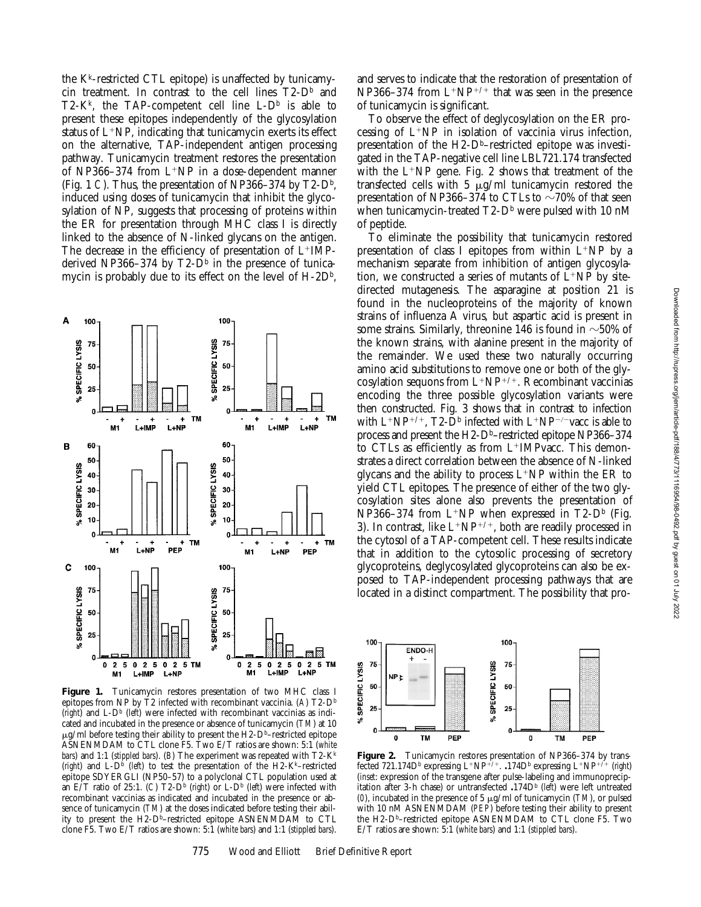the  $K<sup>k</sup>$ -restricted CTL epitope) is unaffected by tunicamycin treatment. In contrast to the cell lines  $T2-D^b$  and T2-K<sup>k</sup>, the TAP-competent cell line L- $D^b$  is able to present these epitopes independently of the glycosylation status of  $L^+NP$ , indicating that tunicamycin exerts its effect on the alternative, TAP-independent antigen processing pathway. Tunicamycin treatment restores the presentation of NP366–374 from  $L^+NP$  in a dose-dependent manner (Fig. 1 *C*). Thus, the presentation of NP366–374 by  $T2-D<sup>b</sup>$ , induced using doses of tunicamycin that inhibit the glycosylation of NP, suggests that processing of proteins within the ER for presentation through MHC class I is directly linked to the absence of N-linked glycans on the antigen. The decrease in the efficiency of presentation of  $L^+IMP^$ derived NP366–374 by  $T2-D<sup>b</sup>$  in the presence of tunicamycin is probably due to its effect on the level of  $H$ -2D<sup>b</sup>,



**Figure 1.** Tunicamycin restores presentation of two MHC class I epitopes from NP by T2 infected with recombinant vaccinia. (*A*) T2-Db (*right*) and L-Db (*left*) were infected with recombinant vaccinias as indicated and incubated in the presence or absence of tunicamycin (*TM*) at 10  $\mu$ g/ml before testing their ability to present the H2-D<sup>b</sup>–restricted epitope ASNENMDAM to CTL clone F5. Two E/T ratios are shown: 5:1 (*white bars*) and 1:1 (*stippled bars*). (*B*) The experiment was repeated with T2-Kk (*right*) and  $L-D^b$  (*left*) to test the presentation of the H2-K<sup>k</sup>–restricted epitope SDYERGLI (NP50–57) to a polyclonal CTL population used at an E/T ratio of 25:1. (C)  $T2-D^b$  (*right*) or L- $D^b$  (*left*) were infected with recombinant vaccinias as indicated and incubated in the presence or absence of tunicamycin (*TM*) at the doses indicated before testing their ability to present the H2-Db–restricted epitope ASNENMDAM to CTL clone F5. Two E/T ratios are shown: 5:1 (*white bars*) and 1:1 (*stippled bars*).

and serves to indicate that the restoration of presentation of NP366–374 from  $L^+N^{p+/+}$  that was seen in the presence of tunicamycin is significant.

To observe the effect of deglycosylation on the ER processing of  $L^+NP$  in isolation of vaccinia virus infection, presentation of the  $H2-D<sup>b</sup>$ –restricted epitope was investigated in the TAP-negative cell line LBL721.174 transfected with the  $L^+NP$  gene. Fig. 2 shows that treatment of the transfected cells with 5  $\mu$ g/ml tunicamycin restored the presentation of NP366–374 to CTLs to  $\sim$ 70% of that seen when tunicamycin-treated  $T2-D<sup>b</sup>$  were pulsed with 10 nM of peptide.

To eliminate the possibility that tunicamycin restored presentation of class I epitopes from within  $L^+NP$  by a mechanism separate from inhibition of antigen glycosylation, we constructed a series of mutants of  $\bar{L}$ +NP by sitedirected mutagenesis. The asparagine at position 21 is found in the nucleoproteins of the majority of known strains of influenza A virus, but aspartic acid is present in some strains. Similarly, threonine 146 is found in  $\sim$ 50% of the known strains, with alanine present in the majority of the remainder. We used these two naturally occurring amino acid substitutions to remove one or both of the glycosylation sequons from  $L^+NP^{+/+}$ . Recombinant vaccinias encoding the three possible glycosylation variants were then constructed. Fig. 3 shows that in contrast to infection with  $L^+NP^{+/+}$ , T2- $\bar{D}^b$  infected with  $L^+NP^{-/-}$  vacc is able to process and present the H2-Db–restricted epitope NP366–374 to CTLs as efficiently as from  $L^+$ IMPvacc. This demonstrates a direct correlation between the absence of N-linked glycans and the ability to process  $L^+NP$  within the ER to yield CTL epitopes. The presence of either of the two glycosylation sites alone also prevents the presentation of NP366–374 from  $L^+NP$  when expressed in T2-D<sup>b</sup> (Fig. 3). In contrast, like  $L^+NP^{+/+}$ , both are readily processed in the cytosol of a TAP-competent cell. These results indicate that in addition to the cytosolic processing of secretory glycoproteins, deglycosylated glycoproteins can also be exposed to TAP-independent processing pathways that are located in a distinct compartment. The possibility that pro-



**Figure 2.** Tunicamycin restores presentation of NP366–374 by transfected 721.174Db expressing L<sup>1</sup>NP<sup>1</sup>/<sup>1</sup>. **.**174Db expressing L<sup>1</sup>NP<sup>1</sup>/<sup>1</sup> (*right*) (*inset*: expression of the transgene after pulse-labeling and immunoprecipitation after 3-h chase) or untransfected **.**174Db (*left*) were left untreated ( $0$ ), incubated in the presence of 5  $\mu$ g/ml of tunicamycin (*TM*), or pulsed with 10 nM ASNENMDAM (*PEP*) before testing their ability to present the H2-Db–restricted epitope ASNENMDAM to CTL clone F5. Two E/T ratios are shown: 5:1 (*white bars*) and 1:1 (*stippled bars*).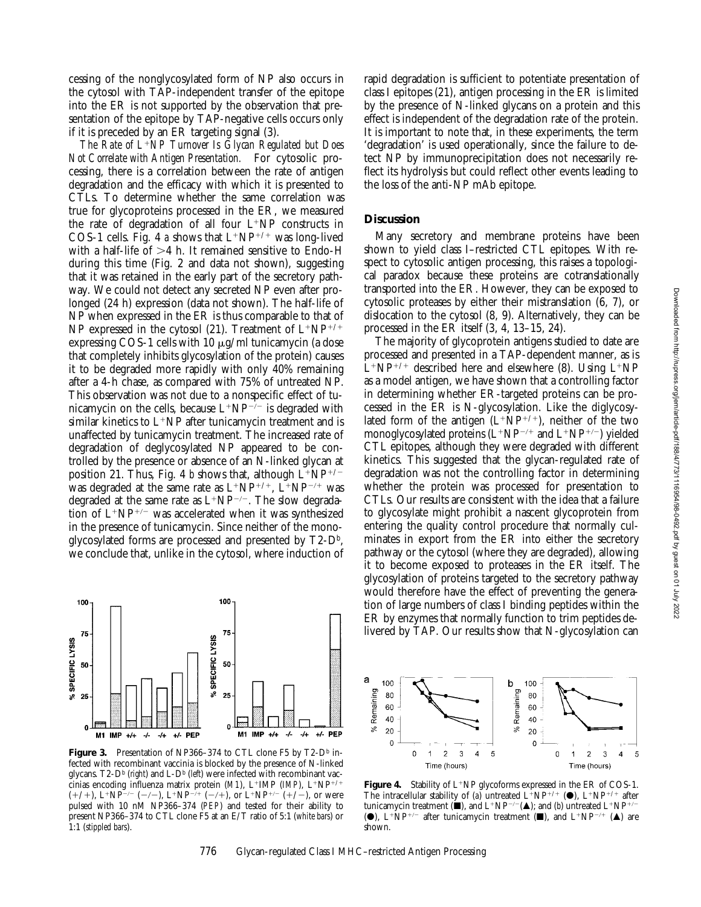cessing of the nonglycosylated form of NP also occurs in the cytosol with TAP-independent transfer of the epitope into the ER is not supported by the observation that presentation of the epitope by TAP-negative cells occurs only if it is preceded by an ER targeting signal (3).

*The Rate of L*<sup>1</sup>*NP Turnover Is Glycan Regulated but Does Not Correlate with Antigen Presentation.* For cytosolic processing, there is a correlation between the rate of antigen degradation and the efficacy with which it is presented to CTLs. To determine whether the same correlation was true for glycoproteins processed in the ER, we measured the rate of degradation of all four  $L^+NP$  constructs in COS-1 cells. Fig. 4 *a* shows that  $L^+NP^{+/+}$  was long-lived with a half-life of  $>4$  h. It remained sensitive to Endo-H during this time (Fig. 2 and data not shown), suggesting that it was retained in the early part of the secretory pathway. We could not detect any secreted NP even after prolonged (24 h) expression (data not shown). The half-life of NP when expressed in the ER is thus comparable to that of NP expressed in the cytosol (21). Treatment of  $L^+NP^{+/+}$ expressing COS-1 cells with 10  $\mu$ g/ml tunicamycin (a dose that completely inhibits glycosylation of the protein) causes it to be degraded more rapidly with only 40% remaining after a 4-h chase, as compared with 75% of untreated NP. This observation was not due to a nonspecific effect of tunicamycin on the cells, because  $L^+NP^{-/-}$  is degraded with similar kinetics to  $L^{+}NP$  after tunicamycin treatment and is unaffected by tunicamycin treatment. The increased rate of degradation of deglycosylated NP appeared to be controlled by the presence or absence of an N-linked glycan at position 21. Thus, Fig. 4 *b* shows that, although  $L^+NP^{+/-}$ was degraded at the same rate as  $L^+NP^{+/+}$ ,  $L^+NP^{-/+}$  was degraded at the same rate as  $L^+NP^{-/-}$ . The slow degradation of  $L^+NP^{+/-}$  was accelerated when it was synthesized in the presence of tunicamycin. Since neither of the monoglycosylated forms are processed and presented by  $T2-D<sup>b</sup>$ , we conclude that, unlike in the cytosol, where induction of



**Figure 3.** Presentation of NP366-374 to CTL clone F5 by T2-D<sup>b</sup> infected with recombinant vaccinia is blocked by the presence of N-linked glycans. T2-D<sup>b</sup> (*right*) and L-D<sup>b</sup> (*left*) were infected with recombinant vaccinias encoding influenza matrix protein (*M1*), L<sup>+</sup>IMP (*IMP*), L<sup>+</sup>NP<sup>+/+</sup>  $(+/+)$ , L<sup>+</sup>NP<sup>-/-</sup> (-/-), L<sup>+</sup>NP<sup>-/+</sup> (-/+), or L<sup>+</sup>NP<sup>+/-</sup> (+/-), or were pulsed with 10 nM NP366–374 (*PEP*) and tested for their ability to present NP366–374 to CTL clone F5 at an E/T ratio of 5:1 (*white bars*) or 1:1 (*stippled bars*).

rapid degradation is sufficient to potentiate presentation of class I epitopes (21), antigen processing in the ER is limited by the presence of N-linked glycans on a protein and this effect is independent of the degradation rate of the protein. It is important to note that, in these experiments, the term 'degradation' is used operationally, since the failure to detect NP by immunoprecipitation does not necessarily reflect its hydrolysis but could reflect other events leading to the loss of the anti-NP mAb epitope.

## **Discussion**

Many secretory and membrane proteins have been shown to yield class I–restricted CTL epitopes. With respect to cytosolic antigen processing, this raises a topological paradox because these proteins are cotranslationally transported into the ER. However, they can be exposed to cytosolic proteases by either their mistranslation (6, 7), or dislocation to the cytosol (8, 9). Alternatively, they can be processed in the ER itself (3, 4, 13–15, 24).

The majority of glycoprotein antigens studied to date are processed and presented in a TAP-dependent manner, as is  $L^+NP^{+/+}$  described here and elsewhere (8). Using  $L^+NP$ as a model antigen, we have shown that a controlling factor in determining whether ER-targeted proteins can be processed in the ER is N-glycosylation. Like the diglycosylated form of the antigen  $(L^+NP^{+/+})$ , neither of the two monoglycosylated proteins  $(L^+NP^{-/+}$  and  $L^+NP^{+/-}$ ) yielded CTL epitopes, although they were degraded with different kinetics. This suggested that the glycan-regulated rate of degradation was not the controlling factor in determining whether the protein was processed for presentation to CTLs. Our results are consistent with the idea that a failure to glycosylate might prohibit a nascent glycoprotein from entering the quality control procedure that normally culminates in export from the ER into either the secretory pathway or the cytosol (where they are degraded), allowing it to become exposed to proteases in the ER itself. The glycosylation of proteins targeted to the secretory pathway would therefore have the effect of preventing the generation of large numbers of class I binding peptides within the ER by enzymes that normally function to trim peptides delivered by TAP. Our results show that N-glycosylation can



**Figure 4.** Stability of  $L^+NP$  glycoforms expressed in the ER of COS-1. The intracellular stability of (*a*) untreated  $L^+NP^{+/+}$  ( $\bullet$ ),  $L^+NP^{+/+}$  after tunicamycin treatment ( $\blacksquare$ ), and L<sup>+</sup>NP<sup>-/-</sup>( $\blacktriangle$ ); and (*b*) untreated L<sup>+</sup>NP<sup>+/-</sup> ( $\bullet$ ), L<sup>+</sup>NP<sup>+/-</sup> after tunicamycin treatment ( $\blacksquare$ ), and L<sup>+</sup>NP<sup>-/+</sup> ( $\blacktriangle$ ) are shown.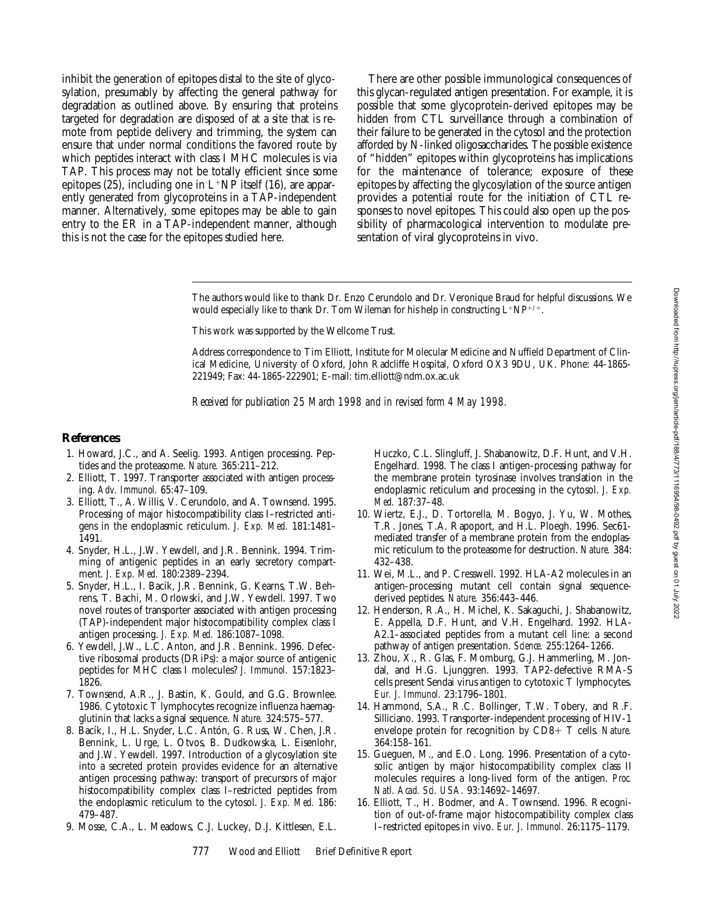inhibit the generation of epitopes distal to the site of glycosylation, presumably by affecting the general pathway for degradation as outlined above. By ensuring that proteins targeted for degradation are disposed of at a site that is remote from peptide delivery and trimming, the system can ensure that under normal conditions the favored route by which peptides interact with class I MHC molecules is via TAP. This process may not be totally efficient since some epitopes (25), including one in  $L^+NP$  itself (16), are apparently generated from glycoproteins in a TAP-independent manner. Alternatively, some epitopes may be able to gain entry to the ER in a TAP-independent manner, although this is not the case for the epitopes studied here.

There are other possible immunological consequences of this glycan-regulated antigen presentation. For example, it is possible that some glycoprotein-derived epitopes may be hidden from CTL surveillance through a combination of their failure to be generated in the cytosol and the protection afforded by N-linked oligosaccharides. The possible existence of "hidden" epitopes within glycoproteins has implications for the maintenance of tolerance; exposure of these epitopes by affecting the glycosylation of the source antigen provides a potential route for the initiation of CTL responses to novel epitopes. This could also open up the possibility of pharmacological intervention to modulate presentation of viral glycoproteins in vivo.

The authors would like to thank Dr. Enzo Cerundolo and Dr. Veronique Braud for helpful discussions. We would especially like to thank Dr. Tom Wileman for his help in constructing  $L^+NP^{+/+}$ .

This work was supported by the Wellcome Trust.

Address correspondence to Tim Elliott, Institute for Molecular Medicine and Nuffield Department of Clinical Medicine, University of Oxford, John Radcliffe Hospital, Oxford OX3 9DU, UK. Phone: 44-1865- 221949; Fax: 44-1865-222901; E-mail: tim.elliott@ndm.ox.ac.uk

*Received for publication 25 March 1998 and in revised form 4 May 1998.*

#### **References**

- 1. Howard, J.C., and A. Seelig. 1993. Antigen processing. Peptides and the proteasome. *Nature.* 365:211–212.
- 2. Elliott, T. 1997. Transporter associated with antigen processing. *Adv. Immunol.* 65:47–109.
- 3. Elliott, T., A. Willis, V. Cerundolo, and A. Townsend. 1995. Processing of major histocompatibility class I–restricted antigens in the endoplasmic reticulum. *J. Exp. Med.* 181:1481– 1491.
- 4. Snyder, H.L., J.W. Yewdell, and J.R. Bennink. 1994. Trimming of antigenic peptides in an early secretory compartment. *J. Exp. Med.* 180:2389–2394.
- 5. Snyder, H.L., I. Bacik, J.R. Bennink, G. Kearns, T.W. Behrens, T. Bachi, M. Orlowski, and J.W. Yewdell. 1997. Two novel routes of transporter associated with antigen processing (TAP)-independent major histocompatibility complex class I antigen processing. *J. Exp. Med.* 186:1087–1098.
- 6. Yewdell, J.W., L.C. Anton, and J.R. Bennink. 1996. Defective ribosomal products (DRiPs): a major source of antigenic peptides for MHC class I molecules? *J. Immunol.* 157:1823– 1826.
- 7. Townsend, A.R., J. Bastin, K. Gould, and G.G. Brownlee. 1986. Cytotoxic T lymphocytes recognize influenza haemagglutinin that lacks a signal sequence. *Nature.* 324:575–577.
- 8. Bacík, I., H.L. Snyder, L.C. Antón, G. Russ, W. Chen, J.R. Bennink, L. Urge, L. Otvos, B. Dudkowska, L. Eisenlohr, and J.W. Yewdell. 1997. Introduction of a glycosylation site into a secreted protein provides evidence for an alternative antigen processing pathway: transport of precursors of major histocompatibility complex class I–restricted peptides from the endoplasmic reticulum to the cytosol. *J. Exp. Med.* 186: 479–487.
- 9. Mosse, C.A., L. Meadows, C.J. Luckey, D.J. Kittlesen, E.L.

Huczko, C.L. Slingluff, J. Shabanowitz, D.F. Hunt, and V.H. Engelhard. 1998. The class I antigen-processing pathway for the membrane protein tyrosinase involves translation in the endoplasmic reticulum and processing in the cytosol. *J. Exp. Med.* 187:37–48.

- 10. Wiertz, E.J., D. Tortorella, M. Bogyo, J. Yu, W. Mothes, T.R. Jones, T.A. Rapoport, and H.L. Ploegh. 1996. Sec61 mediated transfer of a membrane protein from the endoplasmic reticulum to the proteasome for destruction. *Nature.* 384: 432–438.
- 11. Wei, M.L., and P. Cresswell. 1992. HLA-A2 molecules in an antigen-processing mutant cell contain signal sequencederived peptides. *Nature.* 356:443–446.
- 12. Henderson, R.A., H. Michel, K. Sakaguchi, J. Shabanowitz, E. Appella, D.F. Hunt, and V.H. Engelhard. 1992. HLA-A2.1–associated peptides from a mutant cell line: a second pathway of antigen presentation. *Science.* 255:1264–1266.
- 13. Zhou, X., R. Glas, F. Momburg, G.J. Hammerling, M. Jondal, and H.G. Ljunggren. 1993. TAP2-defective RMA-S cells present Sendai virus antigen to cytotoxic T lymphocytes. *Eur. J. Immunol.* 23:1796–1801.
- 14. Hammond, S.A., R.C. Bollinger, T.W. Tobery, and R.F. Silliciano. 1993. Transporter-independent processing of HIV-1 envelope protein for recognition by CD8+ T cells. *Nature*. 364:158–161.
- 15. Gueguen, M., and E.O. Long. 1996. Presentation of a cytosolic antigen by major histocompatibility complex class II molecules requires a long-lived form of the antigen. *Proc. Natl. Acad. Sci. USA.* 93:14692–14697.
- 16. Elliott, T., H. Bodmer, and A. Townsend. 1996. Recognition of out-of-frame major histocompatibility complex class I–restricted epitopes in vivo. *Eur. J. Immunol.* 26:1175–1179.